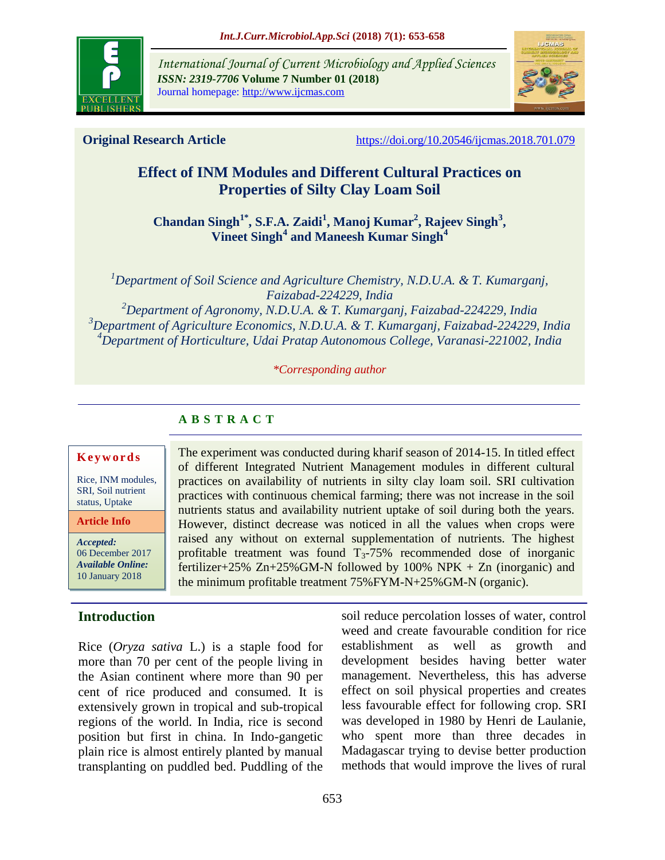

*International Journal of Current Microbiology and Applied Sciences ISSN: 2319-7706* **Volume 7 Number 01 (2018)** Journal homepage: http://www.ijcmas.com



**Original Research Article** <https://doi.org/10.20546/ijcmas.2018.701.079>

# **Effect of INM Modules and Different Cultural Practices on Properties of Silty Clay Loam Soil**

**Chandan Singh1\*, S.F.A. Zaidi<sup>1</sup> , Manoj Kumar<sup>2</sup> , Rajeev Singh<sup>3</sup> , Vineet Singh<sup>4</sup> and Maneesh Kumar Singh<sup>4</sup>**

*Department of Soil Science and Agriculture Chemistry, N.D.U.A. & T. Kumarganj, Faizabad-224229, India Department of Agronomy, N.D.U.A. & T. Kumarganj, Faizabad-224229, India Department of Agriculture Economics, N.D.U.A. & T. Kumarganj, Faizabad-224229, India Department of Horticulture, Udai Pratap Autonomous College, Varanasi-221002, India*

*\*Corresponding author*

The experiment was conducted during kharif season of 2014-15. In titled effect of different Integrated Nutrient Management modules in different cultural practices on availability of nutrients in silty clay loam soil. SRI cultivation practices with continuous chemical farming; there was not increase in the soil nutrients status and availability nutrient uptake of soil during both the years. However, distinct decrease was noticed in all the values when crops were raised any without on external supplementation of nutrients. The highest profitable treatment was found  $T_3$ -75% recommended dose of inorganic fertilizer+25%  $Zn+25\%$  GM-N followed by 100% NPK + Zn (inorganic) and

the minimum profitable treatment 75%FYM-N+25%GM-N (organic).

#### **A B S T R A C T**

#### **K e y w o r d s**

Rice, INM modules, SRI, Soil nutrient status, Uptake

**Article Info**

*Accepted:*  06 December 2017 *Available Online:* 10 January 2018

### **Introduction**

Rice (*Oryza sativa* L.) is a staple food for more than 70 per cent of the people living in the Asian continent where more than 90 per cent of rice produced and consumed. It is extensively grown in tropical and sub-tropical regions of the world. In India, rice is second position but first in china. In Indo-gangetic plain rice is almost entirely planted by manual transplanting on puddled bed. Puddling of the soil reduce percolation losses of water, control weed and create favourable condition for rice establishment as well as growth and development besides having better water management. Nevertheless, this has adverse effect on soil physical properties and creates less favourable effect for following crop. SRI was developed in 1980 by Henri de Laulanie, who spent more than three decades in Madagascar trying to devise better production methods that would improve the lives of rural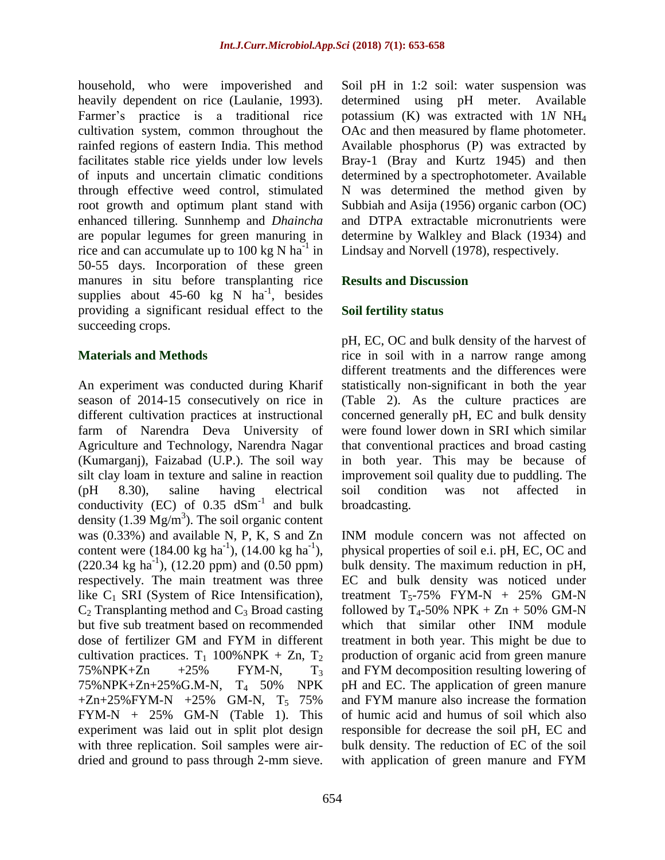household, who were impoverished and heavily dependent on rice (Laulanie, 1993). Farmer's practice is a traditional rice cultivation system, common throughout the rainfed regions of eastern India. This method facilitates stable rice yields under low levels of inputs and uncertain climatic conditions through effective weed control, stimulated root growth and optimum plant stand with enhanced tillering. Sunnhemp and *Dhaincha*  are popular legumes for green manuring in rice and can accumulate up to 100 kg N  $\text{ha}^{-1}$  in 50-55 days. Incorporation of these green manures in situ before transplanting rice supplies about  $45-60$  kg N ha<sup>-1</sup>, besides providing a significant residual effect to the succeeding crops.

#### **Materials and Methods**

An experiment was conducted during Kharif season of 2014-15 consecutively on rice in different cultivation practices at instructional farm of Narendra Deva University of Agriculture and Technology, Narendra Nagar (Kumarganj), Faizabad (U.P.). The soil way silt clay loam in texture and saline in reaction (pH 8.30), saline having electrical conductivity (EC) of  $0.35 \text{ dSm}^{-1}$  and bulk density (1.39  $Mg/m<sup>3</sup>$ ). The soil organic content was (0.33%) and available N, P, K, S and Zn content were  $(184.00 \text{ kg ha}^{-1})$ ,  $(14.00 \text{ kg ha}^{-1})$ ,  $(220.34 \text{ kg ha}^{-1})$ ,  $(12.20 \text{ ppm})$  and  $(0.50 \text{ ppm})$ respectively. The main treatment was three like  $C_1$  SRI (System of Rice Intensification),  $C_2$  Transplanting method and  $C_3$  Broad casting but five sub treatment based on recommended dose of fertilizer GM and FYM in different cultivation practices.  $T_1$  100%NPK + Zn,  $T_2$  $75\%NPK+Zn$   $+25\%$  FYM-N,  $T_3$ 75%NPK+Zn+25%G.M-N, T4 50% NPK  $+Zn+25\%$  FYM-N  $+25\%$  GM-N, T<sub>5</sub> 75% FYM-N + 25% GM-N (Table 1). This experiment was laid out in split plot design with three replication. Soil samples were airdried and ground to pass through 2-mm sieve.

Soil pH in 1:2 soil: water suspension was determined using pH meter. Available potassium (K) was extracted with 1*N* NH<sup>4</sup> OAc and then measured by flame photometer. Available phosphorus (P) was extracted by Bray-1 (Bray and Kurtz 1945) and then determined by a spectrophotometer. Available N was determined the method given by Subbiah and Asija (1956) organic carbon (OC) and DTPA extractable micronutrients were determine by Walkley and Black (1934) and Lindsay and Norvell (1978), respectively.

### **Results and Discussion**

## **Soil fertility status**

pH, EC, OC and bulk density of the harvest of rice in soil with in a narrow range among different treatments and the differences were statistically non-significant in both the year (Table 2). As the culture practices are concerned generally pH, EC and bulk density were found lower down in SRI which similar that conventional practices and broad casting in both year. This may be because of improvement soil quality due to puddling. The soil condition was not affected in broadcasting.

INM module concern was not affected on physical properties of soil e.i. pH, EC, OC and bulk density. The maximum reduction in pH, EC and bulk density was noticed under treatment  $T_5$ -75% FYM-N + 25% GM-N followed by  $T_4$ -50% NPK + Zn + 50% GM-N which that similar other INM module treatment in both year. This might be due to production of organic acid from green manure and FYM decomposition resulting lowering of pH and EC. The application of green manure and FYM manure also increase the formation of humic acid and humus of soil which also responsible for decrease the soil pH, EC and bulk density. The reduction of EC of the soil with application of green manure and FYM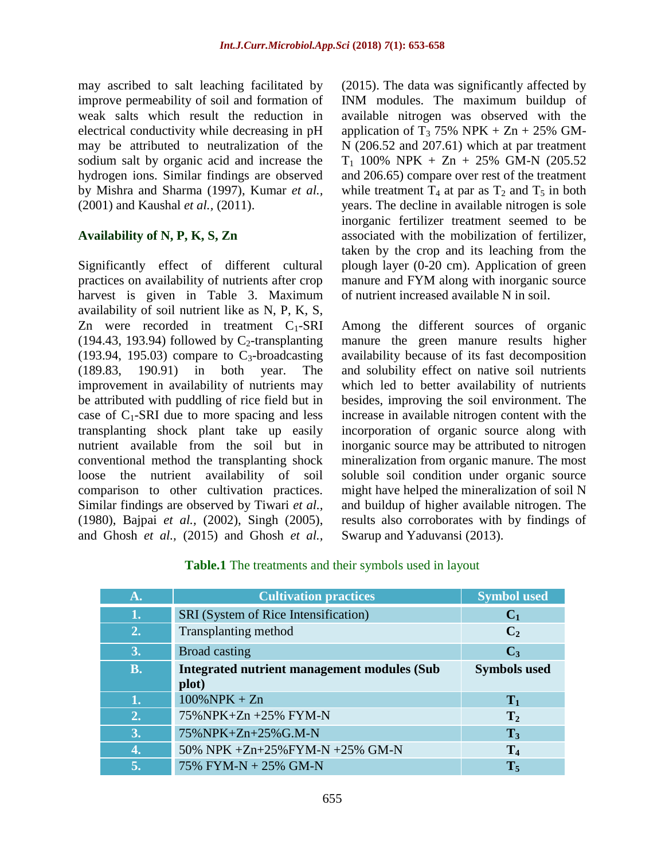may ascribed to salt leaching facilitated by improve permeability of soil and formation of weak salts which result the reduction in electrical conductivity while decreasing in pH may be attributed to neutralization of the sodium salt by organic acid and increase the hydrogen ions. Similar findings are observed by Mishra and Sharma (1997), Kumar *et al.,* (2001) and Kaushal *et al.,* (2011).

# **Availability of N, P, K, S, Zn**

Significantly effect of different cultural practices on availability of nutrients after crop harvest is given in Table 3. Maximum availability of soil nutrient like as N, P, K, S, Zn were recorded in treatment  $C_1$ -SRI (194.43, 193.94) followed by  $C_2$ -transplanting (193.94, 195.03) compare to  $C_3$ -broadcasting (189.83, 190.91) in both year. The improvement in availability of nutrients may be attributed with puddling of rice field but in case of  $C_1$ -SRI due to more spacing and less transplanting shock plant take up easily nutrient available from the soil but in conventional method the transplanting shock loose the nutrient availability of soil comparison to other cultivation practices. Similar findings are observed by Tiwari *et al.,* (1980), Bajpai *et al.,* (2002), Singh (2005), and Ghosh *et al.,* (2015) and Ghosh *et al.,*

(2015). The data was significantly affected by INM modules. The maximum buildup of available nitrogen was observed with the application of T<sub>3</sub> 75% NPK + Zn + 25% GM-N (206.52 and 207.61) which at par treatment  $T_1$  100% NPK + Zn + 25% GM-N (205.52 and 206.65) compare over rest of the treatment while treatment  $T_4$  at par as  $T_2$  and  $T_5$  in both years. The decline in available nitrogen is sole inorganic fertilizer treatment seemed to be associated with the mobilization of fertilizer, taken by the crop and its leaching from the plough layer (0-20 cm). Application of green manure and FYM along with inorganic source of nutrient increased available N in soil.

Among the different sources of organic manure the green manure results higher availability because of its fast decomposition and solubility effect on native soil nutrients which led to better availability of nutrients besides, improving the soil environment. The increase in available nitrogen content with the incorporation of organic source along with inorganic source may be attributed to nitrogen mineralization from organic manure. The most soluble soil condition under organic source might have helped the mineralization of soil N and buildup of higher available nitrogen. The results also corroborates with by findings of Swarup and Yaduvansi (2013).

|  | Table.1 The treatments and their symbols used in layout |  |  |  |
|--|---------------------------------------------------------|--|--|--|
|  |                                                         |  |  |  |

| $\mathbf{A}$ . | <b>Cultivation practices</b>                       | <b>Symbol used</b>  |
|----------------|----------------------------------------------------|---------------------|
| 1.             | SRI (System of Rice Intensification)               | C <sub>1</sub>      |
| 2.             | Transplanting method                               | C <sub>2</sub>      |
| 3.             | <b>Broad casting</b>                               | $C_3$               |
| <b>B.</b>      | <b>Integrated nutrient management modules (Sub</b> | <b>Symbols used</b> |
|                | plot)                                              |                     |
| 1.             | $100\%$ NPK + Zn                                   | $\mathbf{T}_1$      |
| 2.             | 75%NPK+Zn +25% FYM-N                               | T <sub>2</sub>      |
| 3.             | 75%NPK+Zn+25%G.M-N                                 | $T_3$               |
| 4.             | 50% NPK +Zn+25%FYM-N +25% GM-N                     | $T_4$               |
| 5.             | 75% FYM-N + 25% GM-N                               | $T_5$               |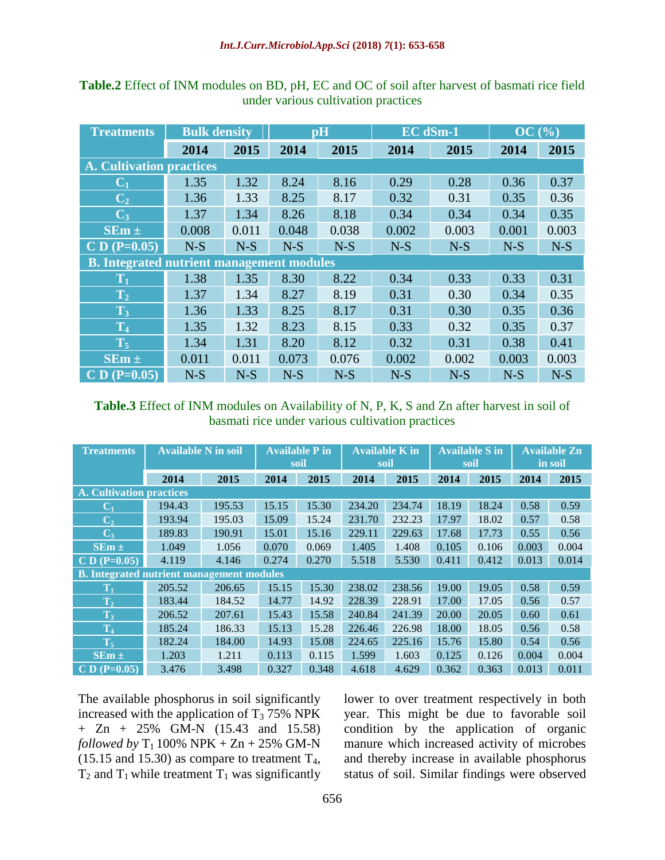| <b>Treatments</b>                                | <b>Bulk density</b> |       |       | $\mathbf{p}$ H |       | <b>EC</b> dSm-1 |       | OC(%) |  |  |
|--------------------------------------------------|---------------------|-------|-------|----------------|-------|-----------------|-------|-------|--|--|
|                                                  | 2014                | 2015  | 2014  | 2015           | 2014  | 2015            | 2014  | 2015  |  |  |
| <b>A. Cultivation practices</b>                  |                     |       |       |                |       |                 |       |       |  |  |
| $\mathbf{C}_1$                                   | 1.35                | 1.32  | 8.24  | 8.16           | 0.29  | 0.28            | 0.36  | 0.37  |  |  |
| $\mathbf{C}_2$                                   | 1.36                | 1.33  | 8.25  | 8.17           | 0.32  | 0.31            | 0.35  | 0.36  |  |  |
| $C_3$                                            | 1.37                | 1.34  | 8.26  | 8.18           | 0.34  | 0.34            | 0.34  | 0.35  |  |  |
| $SEm \pm$                                        | 0.008               | 0.011 | 0.048 | 0.038          | 0.002 | 0.003           | 0.001 | 0.003 |  |  |
| $C D (P=0.05)$                                   | $N-S$               | $N-S$ | $N-S$ | $N-S$          | $N-S$ | $N-S$           | $N-S$ | $N-S$ |  |  |
| <b>B. Integrated nutrient management modules</b> |                     |       |       |                |       |                 |       |       |  |  |
| $\mathbf{T}_1$                                   | 1.38                | 1.35  | 8.30  | 8.22           | 0.34  | 0.33            | 0.33  | 0.31  |  |  |
| T <sub>2</sub>                                   | 1.37                | 1.34  | 8.27  | 8.19           | 0.31  | 0.30            | 0.34  | 0.35  |  |  |
| $T_3$                                            | 1.36                | 1.33  | 8.25  | 8.17           | 0.31  | 0.30            | 0.35  | 0.36  |  |  |
| T <sub>4</sub>                                   | 1.35                | 1.32  | 8.23  | 8.15           | 0.33  | 0.32            | 0.35  | 0.37  |  |  |
| $T_5$                                            | 1.34                | 1.31  | 8.20  | 8.12           | 0.32  | 0.31            | 0.38  | 0.41  |  |  |
| $SEm \pm$                                        | 0.011               | 0.011 | 0.073 | 0.076          | 0.002 | 0.002           | 0.003 | 0.003 |  |  |
| $CD (P=0.05)$                                    | $N-S$               | $N-S$ | $N-S$ | $N-S$          | $N-S$ | $N-S$           | $N-S$ | $N-S$ |  |  |

**Table.2** Effect of INM modules on BD, pH, EC and OC of soil after harvest of basmati rice field under various cultivation practices

#### **Table.3** Effect of INM modules on Availability of N, P, K, S and Zn after harvest in soil of basmati rice under various cultivation practices

| <b>Treatments</b>                                | <b>Available N in soil</b> |        |       | <b>Available P in</b><br>soil | <b>Available K in</b><br>soil |        | <b>Available S in</b><br>soil |       | <b>Available Zn</b><br>in soil |       |
|--------------------------------------------------|----------------------------|--------|-------|-------------------------------|-------------------------------|--------|-------------------------------|-------|--------------------------------|-------|
|                                                  | 2014                       | 2015   | 2014  | 2015                          | 2014                          | 2015   | 2014                          | 2015  | 2014                           | 2015  |
| <b>A. Cultivation practices</b>                  |                            |        |       |                               |                               |        |                               |       |                                |       |
| $\mathbf{C}_1$                                   | 194.43                     | 195.53 | 15.15 | 15.30                         | 234.20                        | 234.74 | 18.19                         | 18.24 | 0.58                           | 0.59  |
| C <sub>2</sub>                                   | 193.94                     | 195.03 | 15.09 | 15.24                         | 231.70                        | 232.23 | 17.97                         | 18.02 | 0.57                           | 0.58  |
| $C_3$                                            | 189.83                     | 190.91 | 15.01 | 15.16                         | 229.11                        | 229.63 | 17.68                         | 17.73 | 0.55                           | 0.56  |
| $SEm \pm$                                        | 1.049                      | 1.056  | 0.070 | 0.069                         | 1.405                         | 1.408  | 0.105                         | 0.106 | 0.003                          | 0.004 |
| $CD (P=0.05)$                                    | 4.119                      | 4.146  | 0.274 | 0.270                         | 5.518                         | 5.530  | 0.411                         | 0.412 | 0.013                          | 0.014 |
| <b>B.</b> Integrated nutrient management modules |                            |        |       |                               |                               |        |                               |       |                                |       |
| $\rm{T}_1$                                       | 205.52                     | 206.65 | 15.15 | 15.30                         | 238.02                        | 238.56 | 19.00                         | 19.05 | 0.58                           | 0.59  |
| $T_2$                                            | 183.44                     | 184.52 | 14.77 | 14.92                         | 228.39                        | 228.91 | 17.00                         | 17.05 | 0.56                           | 0.57  |
| $T_3$                                            | 206.52                     | 207.61 | 15.43 | 15.58                         | 240.84                        | 241.39 | 20.00                         | 20.05 | 0.60                           | 0.61  |
| T <sub>4</sub>                                   | 185.24                     | 186.33 | 15.13 | 15.28                         | 226.46                        | 226.98 | 18.00                         | 18.05 | 0.56                           | 0.58  |
| $T_5$                                            | 182.24                     | 184.00 | 14.93 | 15.08                         | 224.65                        | 225.16 | 15.76                         | 15.80 | 0.54                           | 0.56  |
| $SEm \pm$                                        | 1.203                      | 1.211  | 0.113 | 0.115                         | 1.599                         | 1.603  | 0.125                         | 0.126 | 0.004                          | 0.004 |
| $CD (P=0.05)$                                    | 3.476                      | 3.498  | 0.327 | 0.348                         | 4.618                         | 4.629  | 0.362                         | 0.363 | 0.013                          | 0.011 |

The available phosphorus in soil significantly increased with the application of  $T_3$  75% NPK + Zn + 25% GM-N (15.43 and 15.58) *followed by*  $T_1$  100% NPK + Zn + 25% GM-N  $(15.15 \text{ and } 15.30)$  as compare to treatment  $T_4$ ,  $T_2$  and  $T_1$  while treatment  $T_1$  was significantly

lower to over treatment respectively in both year. This might be due to favorable soil condition by the application of organic manure which increased activity of microbes and thereby increase in available phosphorus status of soil. Similar findings were observed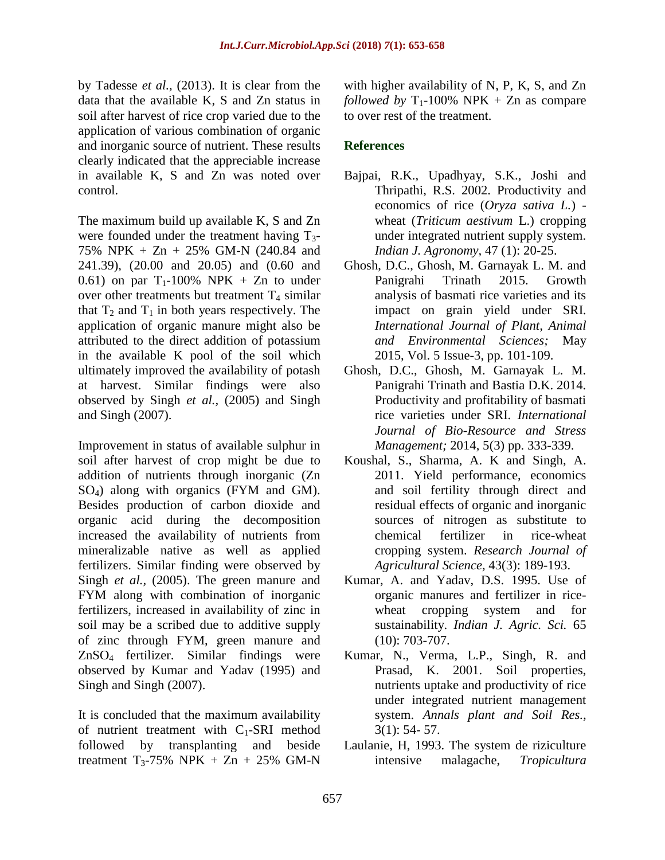by Tadesse *et al.,* (2013). It is clear from the data that the available K, S and Zn status in soil after harvest of rice crop varied due to the application of various combination of organic and inorganic source of nutrient. These results clearly indicated that the appreciable increase in available K, S and Zn was noted over control.

The maximum build up available K, S and Zn were founded under the treatment having  $T_3$ -75% NPK + Zn + 25% GM-N (240.84 and 241.39), (20.00 and 20.05) and (0.60 and 0.61) on par  $T_1$ -100% NPK + Zn to under over other treatments but treatment  $T_4$  similar that  $T_2$  and  $T_1$  in both years respectively. The application of organic manure might also be attributed to the direct addition of potassium in the available K pool of the soil which ultimately improved the availability of potash at harvest. Similar findings were also observed by Singh *et al.,* (2005) and Singh and Singh (2007).

Improvement in status of available sulphur in soil after harvest of crop might be due to addition of nutrients through inorganic (Zn SO4) along with organics (FYM and GM). Besides production of carbon dioxide and organic acid during the decomposition increased the availability of nutrients from mineralizable native as well as applied fertilizers. Similar finding were observed by Singh *et al.,* (2005). The green manure and FYM along with combination of inorganic fertilizers, increased in availability of zinc in soil may be a scribed due to additive supply of zinc through FYM, green manure and ZnSO4 fertilizer. Similar findings were observed by Kumar and Yadav (1995) and Singh and Singh (2007).

It is concluded that the maximum availability of nutrient treatment with  $C_1$ -SRI method followed by transplanting and beside treatment  $T_3$ -75% NPK + Zn + 25% GM-N

with higher availability of N, P, K, S, and Zn *followed by*  $T_1$ -100% NPK + Zn as compare to over rest of the treatment.

# **References**

- Bajpai, R.K., Upadhyay, S.K., Joshi and Thripathi, R.S. 2002. Productivity and economics of rice (*Oryza sativa L.*)  wheat (*Triticum aestivum* L.) cropping under integrated nutrient supply system. *Indian J. Agronomy,* 47 (1): 20-25.
- Ghosh, D.C., Ghosh, M. Garnayak L. M. and Panigrahi Trinath 2015. Growth analysis of basmati rice varieties and its impact on grain yield under SRI. *International Journal of Plant, Animal and Environmental Sciences;* May 2015, Vol. 5 Issue-3, pp. 101-109.
- Ghosh, D.C., Ghosh, M. Garnayak L. M. Panigrahi Trinath and Bastia D.K. 2014. Productivity and profitability of basmati rice varieties under SRI. *International Journal of Bio-Resource and Stress Management;* 2014, 5(3) pp. 333-339.
- Koushal, S., Sharma, A. K and Singh, A. 2011. Yield performance, economics and soil fertility through direct and residual effects of organic and inorganic sources of nitrogen as substitute to chemical fertilizer in rice-wheat cropping system. *Research Journal of Agricultural Science,* 43(3): 189-193.
- Kumar, A. and Yadav, D.S. 1995. Use of organic manures and fertilizer in ricewheat cropping system and for sustainability. *Indian J. Agric. Sci.* 65 (10): 703-707.
- Kumar, N., Verma, L.P., Singh, R. and Prasad, K. 2001. Soil properties, nutrients uptake and productivity of rice under integrated nutrient management system. *Annals plant and Soil Res.,*  3(1): 54- 57.
- Laulanie, H, 1993. The system de riziculture intensive malagache, *Tropicultura*